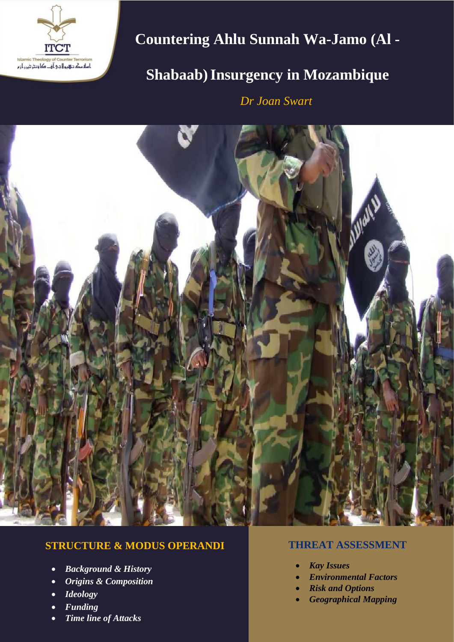

# **Countering Ahlu Sunnah Wa-Jamo (Al -**

## **Shabaab)Insurgency in Mozambique**

**in Mozambique** *Dr Joan Swart*



## **STRUCTURE & MODUS OPERANDI**

- *Background & History*
- *Origins & Composition*
- *Ideology*
- *Funding*
- *Time line of Attacks*

### **THREAT ASSESSMENT**

- *Kay Issues*
- *Environmental Factors*
- *Risk and Options*
- *Geographical Mapping*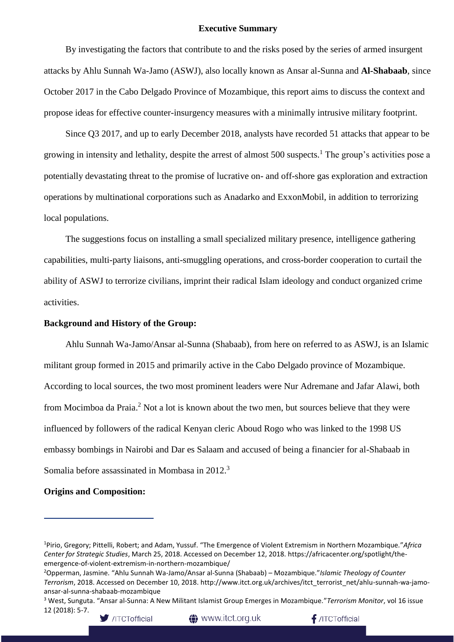#### **Executive Summary**

By investigating the factors that contribute to and the risks posed by the series of armed insurgent attacks by Ahlu Sunnah Wa-Jamo (ASWJ), also locally known as Ansar al-Sunna and **Al-Shabaab**, since October 2017 in the Cabo Delgado Province of Mozambique, this report aims to discuss the context and propose ideas for effective counter-insurgency measures with a minimally intrusive military footprint.

Since Q3 2017, and up to early December 2018, analysts have recorded 51 attacks that appear to be growing in intensity and lethality, despite the arrest of almost 500 suspects.<sup>1</sup> The group's activities pose a potentially devastating threat to the promise of lucrative on- and off-shore gas exploration and extraction operations by multinational corporations such as Anadarko and ExxonMobil, in addition to terrorizing local populations.

The suggestions focus on installing a small specialized military presence, intelligence gathering capabilities, multi-party liaisons, anti-smuggling operations, and cross-border cooperation to curtail the ability of ASWJ to terrorize civilians, imprint their radical Islam ideology and conduct organized crime activities.

#### **Background and History of the Group:**

Ahlu Sunnah Wa-Jamo/Ansar al-Sunna (Shabaab), from here on referred to as ASWJ, is an Islamic militant group formed in 2015 and primarily active in the Cabo Delgado province of Mozambique. According to local sources, the two most prominent leaders were Nur Adremane and Jafar Alawi, both from Mocimboa da Praia.<sup>2</sup> Not a lot is known about the two men, but sources believe that they were influenced by followers of the radical Kenyan cleric Aboud Rogo who was linked to the 1998 US embassy bombings in Nairobi and Dar es Salaam and accused of being a financier for al-Shabaab in Somalia before assassinated in Mombasa in 2012.<sup>3</sup>

#### **Origins and Composition:**

<sup>3</sup> West, Sunguta. "Ansar al-Sunna: A New Militant Islamist Group Emerges in Mozambique."*Terrorism Monitor*, vol 16 issue 12 (2018): 5-7.



<sup>1</sup>Pirio, Gregory; Pittelli, Robert; and Adam, Yussuf. "The Emergence of Violent Extremism in Northern Mozambique*.*"*Africa Center for Strategic Studies*, March 25, 2018. Accessed on December 12, 2018. https://africacenter.org/spotlight/theemergence-of-violent-extremism-in-northern-mozambique/

<sup>2</sup>Opperman, Jasmine. "Ahlu Sunnah Wa-Jamo/Ansar al-Sunna (Shabaab) – Mozambique."*Islamic Theology of Counter Terrorism*, 2018. Accessed on December 10, 2018. http://www.itct.org.uk/archives/itct\_terrorist\_net/ahlu-sunnah-wa-jamoansar-al-sunna-shabaab-mozambique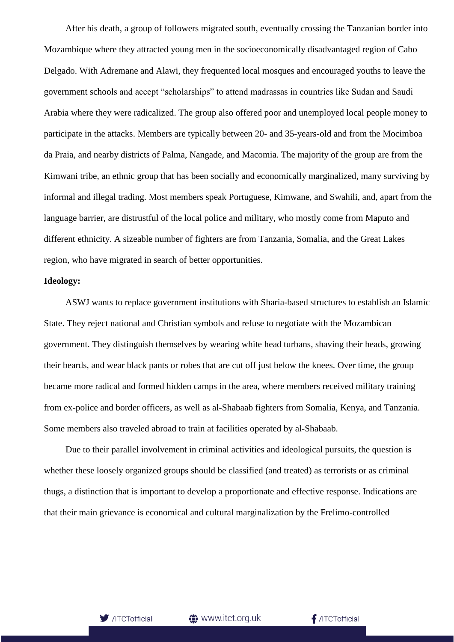After his death, a group of followers migrated south, eventually crossing the Tanzanian border into Mozambique where they attracted young men in the socioeconomically disadvantaged region of Cabo Delgado. With Adremane and Alawi, they frequented local mosques and encouraged youths to leave the government schools and accept "scholarships" to attend madrassas in countries like Sudan and Saudi Arabia where they were radicalized. The group also offered poor and unemployed local people money to participate in the attacks. Members are typically between 20- and 35-years-old and from the Mocimboa da Praia, and nearby districts of Palma, Nangade, and Macomia. The majority of the group are from the Kimwani tribe, an ethnic group that has been socially and economically marginalized, many surviving by informal and illegal trading. Most members speak Portuguese, Kimwane, and Swahili, and, apart from the language barrier, are distrustful of the local police and military, who mostly come from Maputo and different ethnicity. A sizeable number of fighters are from Tanzania, Somalia, and the Great Lakes region, who have migrated in search of better opportunities.

#### **Ideology:**

ASWJ wants to replace government institutions with Sharia-based structures to establish an Islamic State. They reject national and Christian symbols and refuse to negotiate with the Mozambican government. They distinguish themselves by wearing white head turbans, shaving their heads, growing their beards, and wear black pants or robes that are cut off just below the knees. Over time, the group became more radical and formed hidden camps in the area, where members received military training from ex-police and border officers, as well as al-Shabaab fighters from Somalia, Kenya, and Tanzania. Some members also traveled abroad to train at facilities operated by al-Shabaab.

Due to their parallel involvement in criminal activities and ideological pursuits, the question is whether these loosely organized groups should be classified (and treated) as terrorists or as criminal thugs, a distinction that is important to develop a proportionate and effective response. Indications are that their main grievance is economical and cultural marginalization by the Frelimo-controlled

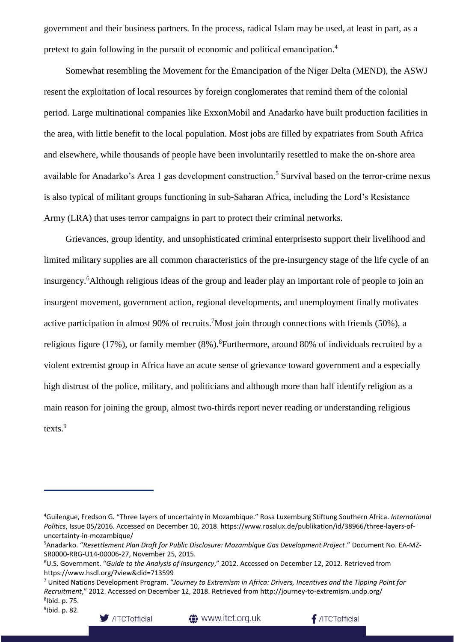government and their business partners. In the process, radical Islam may be used, at least in part, as a pretext to gain following in the pursuit of economic and political emancipation.<sup>4</sup>

Somewhat resembling the Movement for the Emancipation of the Niger Delta (MEND), the ASWJ resent the exploitation of local resources by foreign conglomerates that remind them of the colonial period. Large multinational companies like ExxonMobil and Anadarko have built production facilities in the area, with little benefit to the local population. Most jobs are filled by expatriates from South Africa and elsewhere, while thousands of people have been involuntarily resettled to make the on-shore area available for Anadarko's Area 1 gas development construction.<sup>5</sup> Survival based on the terror-crime nexus is also typical of militant groups functioning in sub-Saharan Africa, including the Lord's Resistance Army (LRA) that uses terror campaigns in part to protect their criminal networks.

Grievances, group identity, and unsophisticated criminal enterprisesto support their livelihood and limited military supplies are all common characteristics of the pre-insurgency stage of the life cycle of an insurgency.<sup>6</sup>Although religious ideas of the group and leader play an important role of people to join an insurgent movement, government action, regional developments, and unemployment finally motivates active participation in almost 90% of recruits.<sup>7</sup>Most join through connections with friends (50%), a religious figure (17%), or family member  $(8\%)$ .<sup>8</sup>Furthermore, around 80% of individuals recruited by a violent extremist group in Africa have an acute sense of grievance toward government and a especially high distrust of the police, military, and politicians and although more than half identify religion as a main reason for joining the group, almost two-thirds report never reading or understanding religious texts.<sup>9</sup>



<sup>4</sup>Guilengue, Fredson G. "Three layers of uncertainty in Mozambique." Rosa Luxemburg Stiftung Southern Africa. *International Politics*, Issue 05/2016. Accessed on December 10, 2018. https://www.rosalux.de/publikation/id/38966/three-layers-ofuncertainty-in-mozambique/

<sup>5</sup>Anadarko. "*Resettlement Plan Draft for Public Disclosure: Mozambique Gas Development Project*." Document No. EA-MZ-SR0000-RRG-U14-00006-27, November 25, 2015.

<sup>6</sup>U.S. Government. "*Guide to the Analysis of Insurgency*," 2012. Accessed on December 12, 2012. Retrieved from https://www.hsdl.org/?view&did=713599

<sup>7</sup> United Nations Development Program. "*Journey to Extremism in Africa: Drivers, Incentives and the Tipping Point for Recruitment*," 2012. Accessed on December 12, 2018. Retrieved from http://journey-to-extremism.undp.org/ 8 Ibid. p. 75.

<sup>&</sup>lt;sup>9</sup>lbid. p. 82.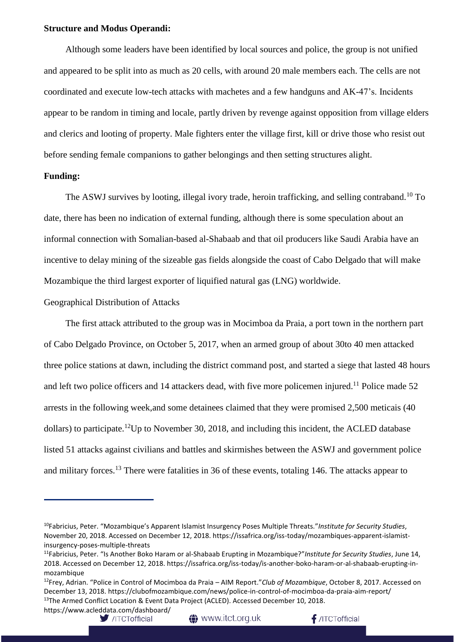#### **Structure and Modus Operandi:**

Although some leaders have been identified by local sources and police, the group is not unified and appeared to be split into as much as 20 cells, with around 20 male members each. The cells are not coordinated and execute low-tech attacks with machetes and a few handguns and AK-47's. Incidents appear to be random in timing and locale, partly driven by revenge against opposition from village elders and clerics and looting of property. Male fighters enter the village first, kill or drive those who resist out before sending female companions to gather belongings and then setting structures alight.

#### **Funding:**

The ASWJ survives by looting, illegal ivory trade, heroin trafficking, and selling contraband.<sup>10</sup> To date, there has been no indication of external funding, although there is some speculation about an informal connection with Somalian-based al-Shabaab and that oil producers like Saudi Arabia have an incentive to delay mining of the sizeable gas fields alongside the coast of Cabo Delgado that will make Mozambique the third largest exporter of liquified natural gas (LNG) worldwide.

Geographical Distribution of Attacks

The first attack attributed to the group was in Mocimboa da Praia, a port town in the northern part of Cabo Delgado Province, on October 5, 2017, when an armed group of about 30to 40 men attacked three police stations at dawn, including the district command post, and started a siege that lasted 48 hours and left two police officers and 14 attackers dead, with five more policemen injured.<sup>11</sup> Police made 52 arrests in the following week,and some detainees claimed that they were promised 2,500 meticais (40 dollars) to participate.<sup>12</sup>Up to November 30, 2018, and including this incident, the ACLED database listed 51 attacks against civilians and battles and skirmishes between the ASWJ and government police and military forces.<sup>13</sup> There were fatalities in 36 of these events, totaling 146. The attacks appear to

https://www.acleddata.com/dashboard/

**t** www.itct.org.uk

<sup>10</sup>Fabricius, Peter. "Mozambique's Apparent Islamist Insurgency Poses Multiple Threats."*Institute for Security Studies*, November 20, 2018. Accessed on December 12, 2018. https://issafrica.org/iss-today/mozambiques-apparent-islamistinsurgency-poses-multiple-threats

<sup>11</sup>Fabricius, Peter. "Is Another Boko Haram or al-Shabaab Erupting in Mozambique?"*Institute for Security Studies*, June 14, 2018. Accessed on December 12, 2018. https://issafrica.org/iss-today/is-another-boko-haram-or-al-shabaab-erupting-inmozambique

<sup>12</sup>Frey, Adrian. "Police in Control of Mocimboa da Praia – AIM Report."*Club of Mozambique*, October 8, 2017. Accessed on December 13, 2018. https://clubofmozambique.com/news/police-in-control-of-mocimboa-da-praia-aim-report/ <sup>13</sup>The Armed Conflict Location & Event Data Project (ACLED). Accessed December 10, 2018.

<sup>/</sup>ITCTofficial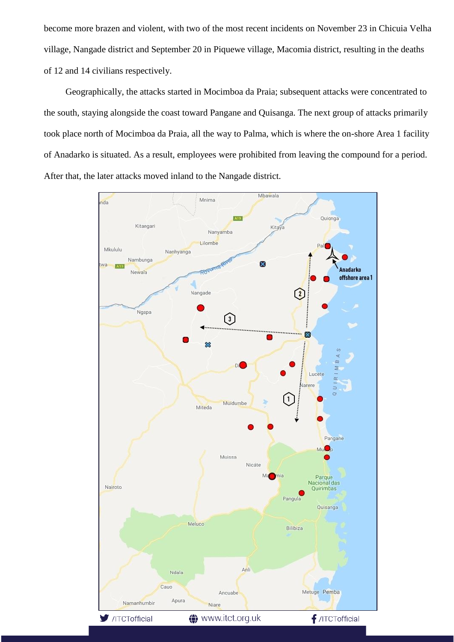become more brazen and violent, with two of the most recent incidents on November 23 in Chicuia Velha village, Nangade district and September 20 in Piquewe village, Macomia district, resulting in the deaths of 12 and 14 civilians respectively.

Geographically, the attacks started in Mocimboa da Praia; subsequent attacks were concentrated to the south, staying alongside the coast toward Pangane and Quisanga. The next group of attacks primarily took place north of Mocimboa da Praia, all the way to Palma, which is where the on-shore Area 1 facility of Anadarko is situated. As a result, employees were prohibited from leaving the compound for a period. After that, the later attacks moved inland to the Nangade district.

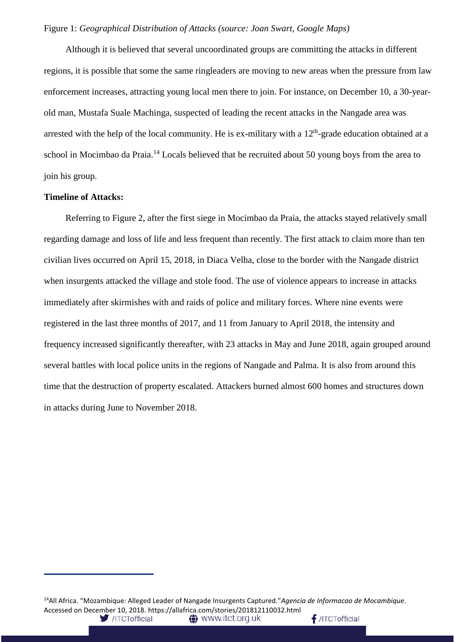#### Figure 1: *Geographical Distribution of Attacks (source: Joan Swart, Google Maps)*

Although it is believed that several uncoordinated groups are committing the attacks in different regions, it is possible that some the same ringleaders are moving to new areas when the pressure from law enforcement increases, attracting young local men there to join. For instance, on December 10, a 30-yearold man, Mustafa Suale Machinga, suspected of leading the recent attacks in the Nangade area was arrested with the help of the local community. He is ex-military with a  $12<sup>th</sup>$ -grade education obtained at a school in Mocimbao da Praia.<sup>14</sup> Locals believed that he recruited about 50 young boys from the area to join his group.

#### **Timeline of Attacks:**

Referring to Figure 2, after the first siege in Mocimbao da Praia, the attacks stayed relatively small regarding damage and loss of life and less frequent than recently. The first attack to claim more than ten civilian lives occurred on April 15, 2018, in Diaca Velha, close to the border with the Nangade district when insurgents attacked the village and stole food. The use of violence appears to increase in attacks immediately after skirmishes with and raids of police and military forces. Where nine events were registered in the last three months of 2017, and 11 from January to April 2018, the intensity and frequency increased significantly thereafter, with 23 attacks in May and June 2018, again grouped around several battles with local police units in the regions of Nangade and Palma. It is also from around this time that the destruction of property escalated. Attackers burned almost 600 homes and structures down in attacks during June to November 2018.

<sup>14</sup>All Africa. "Mozambique: Alleged Leader of Nangade Insurgents Captured."*Agencia de Informacao de Mocambique*. Accessed on December 10, 2018. https://allafrica.com/stories/201812110032.html<br>//TCTofficial **(1)** WWW.itct.org.uk/ /ITCTofficial /ITCTofficial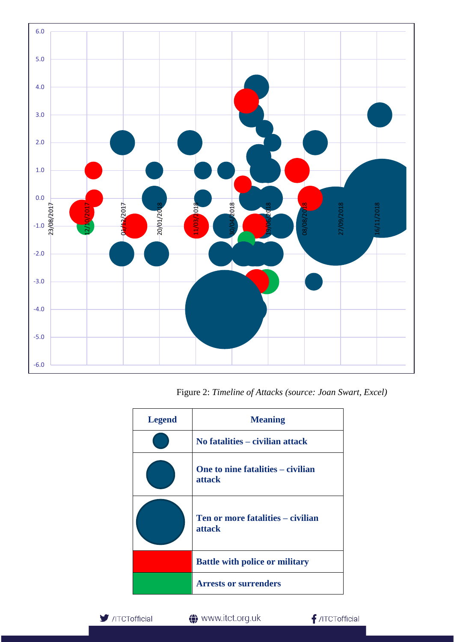

Figure 2: *Timeline of Attacks (source: Joan Swart, Excel)*

| <b>Legend</b> | <b>Meaning</b>                                     |
|---------------|----------------------------------------------------|
|               | No fatalities – civilian attack                    |
|               | One to nine fatalities – civilian<br><b>attack</b> |
|               | Ten or more fatalities – civilian<br>attack        |
|               | <b>Battle with police or military</b>              |
|               | <b>Arrests or surrenders</b>                       |

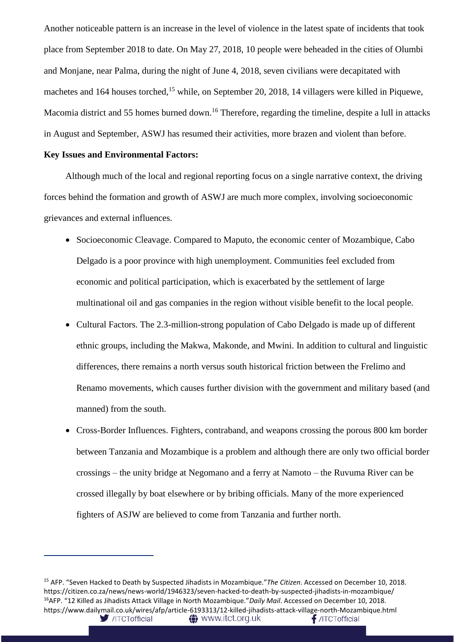Another noticeable pattern is an increase in the level of violence in the latest spate of incidents that took place from September 2018 to date. On May 27, 2018, 10 people were beheaded in the cities of Olumbi and Monjane, near Palma, during the night of June 4, 2018, seven civilians were decapitated with machetes and 164 houses torched,<sup>15</sup> while, on September 20, 2018, 14 villagers were killed in Piquewe, Macomia district and 55 homes burned down.<sup>16</sup> Therefore, regarding the timeline, despite a lull in attacks in August and September, ASWJ has resumed their activities, more brazen and violent than before.

#### **Key Issues and Environmental Factors:**

Although much of the local and regional reporting focus on a single narrative context, the driving forces behind the formation and growth of ASWJ are much more complex, involving socioeconomic grievances and external influences.

- Socioeconomic Cleavage. Compared to Maputo, the economic center of Mozambique, Cabo Delgado is a poor province with high unemployment. Communities feel excluded from economic and political participation, which is exacerbated by the settlement of large multinational oil and gas companies in the region without visible benefit to the local people.
- Cultural Factors. The 2.3-million-strong population of Cabo Delgado is made up of different ethnic groups, including the Makwa, Makonde, and Mwini. In addition to cultural and linguistic differences, there remains a north versus south historical friction between the Frelimo and Renamo movements, which causes further division with the government and military based (and manned) from the south.
- Cross-Border Influences. Fighters, contraband, and weapons crossing the porous 800 km border between Tanzania and Mozambique is a problem and although there are only two official border crossings – the unity bridge at Negomano and a ferry at Namoto – the Ruvuma River can be crossed illegally by boat elsewhere or by bribing officials. Many of the more experienced fighters of ASJW are believed to come from Tanzania and further north.

<sup>15</sup> AFP. "Seven Hacked to Death by Suspected Jihadists in Mozambique."*The Citizen*. Accessed on December 10, 2018. https://citizen.co.za/news/news-world/1946323/seven-hacked-to-death-by-suspected-jihadists-in-mozambique/ <sup>16</sup>AFP. "12 Killed as Jihadists Attack Village in North Mozambique."*Daily Mail*. Accessed on December 10, 2018. https://www.dailymail.co.uk/wires/afp/article-6193313/12-killed-jihadists-attack-village-north-Mozambique.html/ITCTofficial **A** www.itct.org.uk  $f$ /ITCTofficial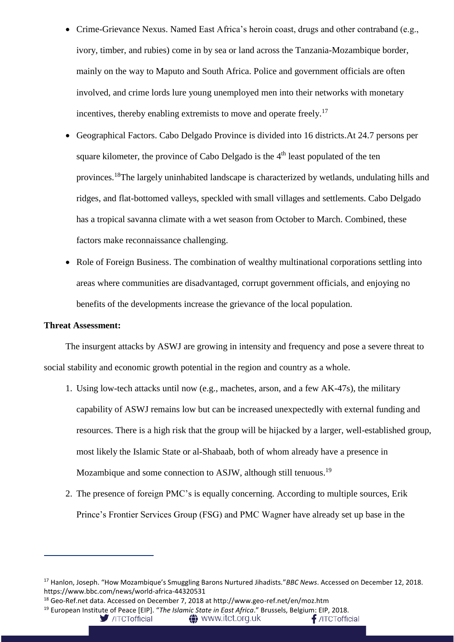- Crime-Grievance Nexus. Named East Africa's heroin coast, drugs and other contraband (e.g., ivory, timber, and rubies) come in by sea or land across the Tanzania-Mozambique border, mainly on the way to Maputo and South Africa. Police and government officials are often involved, and crime lords lure young unemployed men into their networks with monetary incentives, thereby enabling extremists to move and operate freely.<sup>17</sup>
- Geographical Factors. Cabo Delgado Province is divided into 16 districts.At 24.7 persons per square kilometer, the province of Cabo Delgado is the 4<sup>th</sup> least populated of the ten provinces.<sup>18</sup>The largely uninhabited landscape is characterized by wetlands, undulating hills and ridges, and flat-bottomed valleys, speckled with small villages and settlements. Cabo Delgado has a tropical savanna climate with a wet season from October to March. Combined, these factors make reconnaissance challenging.
- Role of Foreign Business. The combination of wealthy multinational corporations settling into areas where communities are disadvantaged, corrupt government officials, and enjoying no benefits of the developments increase the grievance of the local population.

#### **Threat Assessment:**

The insurgent attacks by ASWJ are growing in intensity and frequency and pose a severe threat to social stability and economic growth potential in the region and country as a whole.

- 1. Using low-tech attacks until now (e.g., machetes, arson, and a few AK-47s), the military capability of ASWJ remains low but can be increased unexpectedly with external funding and resources. There is a high risk that the group will be hijacked by a larger, well-established group, most likely the Islamic State or al-Shabaab, both of whom already have a presence in Mozambique and some connection to ASJW, although still tenuous.<sup>19</sup>
- 2. The presence of foreign PMC's is equally concerning. According to multiple sources, Erik Prince's Frontier Services Group (FSG) and PMC Wagner have already set up base in the

<sup>19</sup> European Institute of Peace [EIP]. "*The Islamic State in East Africa*." Brussels, Belgium: EIP, 2018.

<sup>17</sup> Hanlon, Joseph. "How Mozambique's Smuggling Barons Nurtured Jihadists."*BBC News*. Accessed on December 12, 2018. https://www.bbc.com/news/world-africa-44320531

<sup>18</sup> Geo-Ref.net data. Accessed on December 7, 2018 at http://www.geo-ref.net/en/moz.htm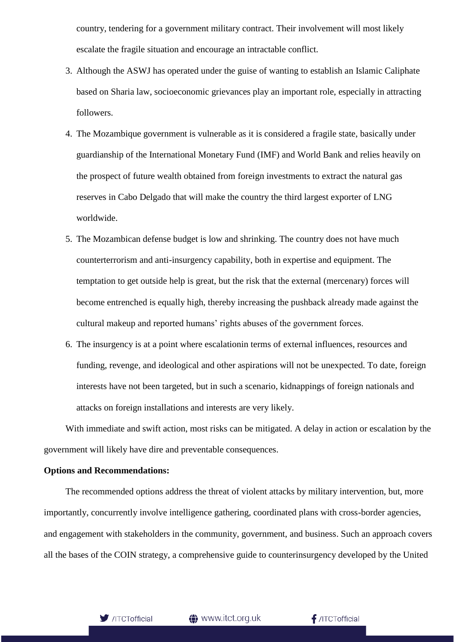country, tendering for a government military contract. Their involvement will most likely escalate the fragile situation and encourage an intractable conflict.

- 3. Although the ASWJ has operated under the guise of wanting to establish an Islamic Caliphate based on Sharia law, socioeconomic grievances play an important role, especially in attracting followers.
- 4. The Mozambique government is vulnerable as it is considered a fragile state, basically under guardianship of the International Monetary Fund (IMF) and World Bank and relies heavily on the prospect of future wealth obtained from foreign investments to extract the natural gas reserves in Cabo Delgado that will make the country the third largest exporter of LNG worldwide.
- 5. The Mozambican defense budget is low and shrinking. The country does not have much counterterrorism and anti-insurgency capability, both in expertise and equipment. The temptation to get outside help is great, but the risk that the external (mercenary) forces will become entrenched is equally high, thereby increasing the pushback already made against the cultural makeup and reported humans' rights abuses of the government forces.
- 6. The insurgency is at a point where escalationin terms of external influences, resources and funding, revenge, and ideological and other aspirations will not be unexpected. To date, foreign interests have not been targeted, but in such a scenario, kidnappings of foreign nationals and attacks on foreign installations and interests are very likely.

With immediate and swift action, most risks can be mitigated. A delay in action or escalation by the government will likely have dire and preventable consequences.

#### **Options and Recommendations:**

The recommended options address the threat of violent attacks by military intervention, but, more importantly, concurrently involve intelligence gathering, coordinated plans with cross-border agencies, and engagement with stakeholders in the community, government, and business. Such an approach covers all the bases of the COIN strategy, a comprehensive guide to counterinsurgency developed by the United

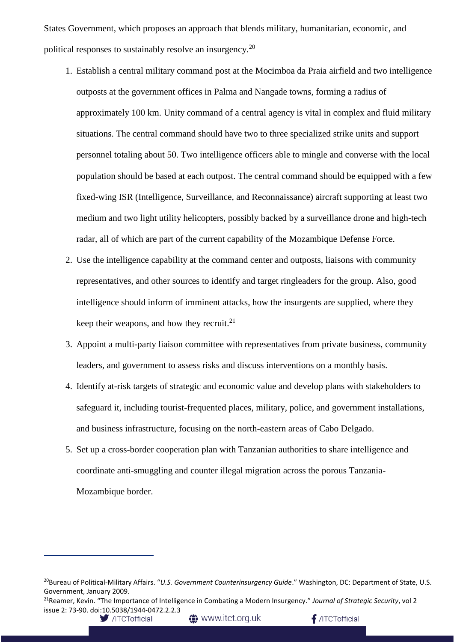States Government, which proposes an approach that blends military, humanitarian, economic, and political responses to sustainably resolve an insurgency.<sup>20</sup>

- 1. Establish a central military command post at the Mocimboa da Praia airfield and two intelligence outposts at the government offices in Palma and Nangade towns, forming a radius of approximately 100 km. Unity command of a central agency is vital in complex and fluid military situations. The central command should have two to three specialized strike units and support personnel totaling about 50. Two intelligence officers able to mingle and converse with the local population should be based at each outpost. The central command should be equipped with a few fixed-wing ISR (Intelligence, Surveillance, and Reconnaissance) aircraft supporting at least two medium and two light utility helicopters, possibly backed by a surveillance drone and high-tech radar, all of which are part of the current capability of the Mozambique Defense Force.
- 2. Use the intelligence capability at the command center and outposts, liaisons with community representatives, and other sources to identify and target ringleaders for the group. Also, good intelligence should inform of imminent attacks, how the insurgents are supplied, where they keep their weapons, and how they recruit. $2<sup>1</sup>$
- 3. Appoint a multi-party liaison committee with representatives from private business, community leaders, and government to assess risks and discuss interventions on a monthly basis.
- 4. Identify at-risk targets of strategic and economic value and develop plans with stakeholders to safeguard it, including tourist-frequented places, military, police, and government installations, and business infrastructure, focusing on the north-eastern areas of Cabo Delgado.
- 5. Set up a cross-border cooperation plan with Tanzanian authorities to share intelligence and coordinate anti-smuggling and counter illegal migration across the porous Tanzania-Mozambique border.

**4** www.itct.org.uk

 $f$ /ITCTofficial

<sup>20</sup>Bureau of Political-Military Affairs. "*U.S. Government Counterinsurgency Guide*." Washington, DC: Department of State, U.S. Government, January 2009.

<sup>21</sup>Reamer, Kevin. "The Importance of Intelligence in Combating a Modern Insurgency." *Journal of Strategic Security*, vol 2 issue 2: 73-90. doi:10.5038/1944-0472.2.2.3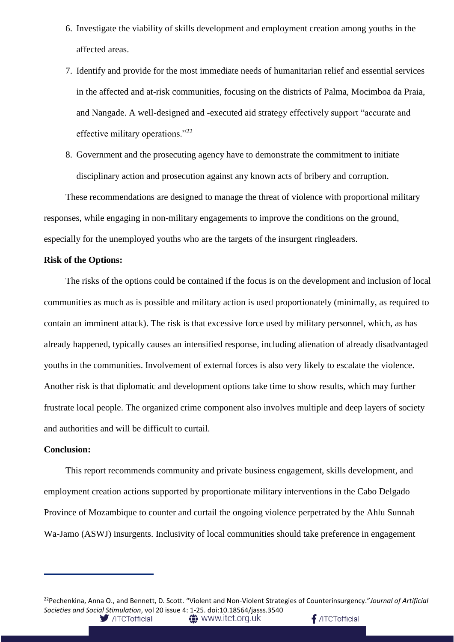- 6. Investigate the viability of skills development and employment creation among youths in the affected areas.
- 7. Identify and provide for the most immediate needs of humanitarian relief and essential services in the affected and at-risk communities, focusing on the districts of Palma, Mocimboa da Praia, and Nangade. A well-designed and -executed aid strategy effectively support "accurate and effective military operations."<sup>22</sup>
- 8. Government and the prosecuting agency have to demonstrate the commitment to initiate disciplinary action and prosecution against any known acts of bribery and corruption.

These recommendations are designed to manage the threat of violence with proportional military responses, while engaging in non-military engagements to improve the conditions on the ground, especially for the unemployed youths who are the targets of the insurgent ringleaders.

#### **Risk of the Options:**

The risks of the options could be contained if the focus is on the development and inclusion of local communities as much as is possible and military action is used proportionately (minimally, as required to contain an imminent attack). The risk is that excessive force used by military personnel, which, as has already happened, typically causes an intensified response, including alienation of already disadvantaged youths in the communities. Involvement of external forces is also very likely to escalate the violence. Another risk is that diplomatic and development options take time to show results, which may further frustrate local people. The organized crime component also involves multiple and deep layers of society and authorities and will be difficult to curtail.

#### **Conclusion:**

This report recommends community and private business engagement, skills development, and employment creation actions supported by proportionate military interventions in the Cabo Delgado Province of Mozambique to counter and curtail the ongoing violence perpetrated by the Ahlu Sunnah Wa-Jamo (ASWJ) insurgents. Inclusivity of local communities should take preference in engagement

<sup>22</sup>Pechenkina, Anna O., and Bennett, D. Scott. "Violent and Non-Violent Strategies of Counterinsurgency."*Journal of Artificial Societies and Social Stimulation*, vol 20 issue 4: 1-25. doi:10.18564/jasss.3540 $f$ /ITCTofficial /ITCTofficial **△** www.itct.org.uk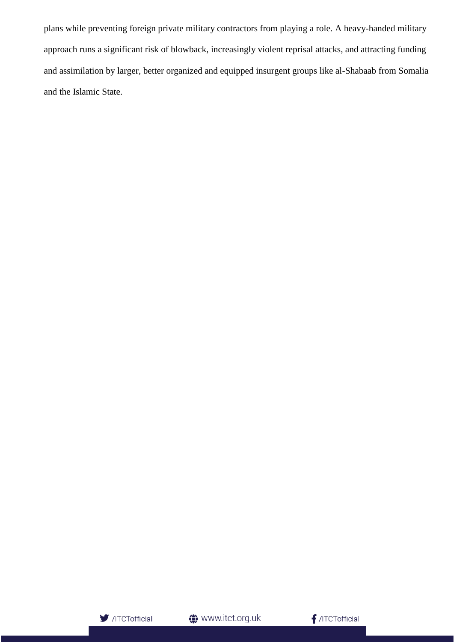plans while preventing foreign private military contractors from playing a role. A heavy-handed military approach runs a significant risk of blowback, increasingly violent reprisal attacks, and attracting funding and assimilation by larger, better organized and equipped insurgent groups like al-Shabaab from Somalia and the Islamic State.

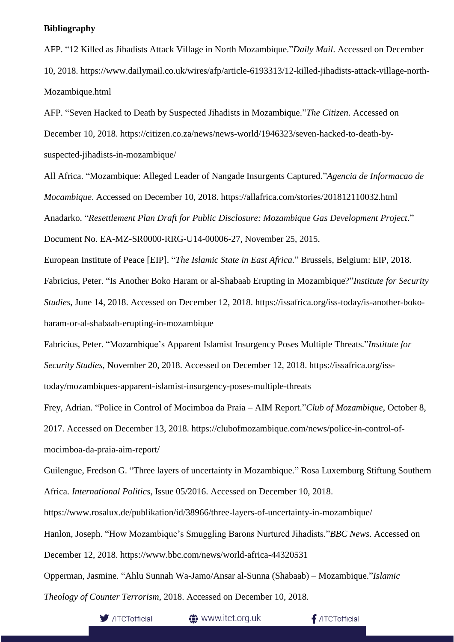#### **Bibliography**

AFP. "12 Killed as Jihadists Attack Village in North Mozambique."*Daily Mail*. Accessed on December 10, 2018. https://www.dailymail.co.uk/wires/afp/article-6193313/12-killed-jihadists-attack-village-north-Mozambique.html

AFP. "Seven Hacked to Death by Suspected Jihadists in Mozambique."*The Citizen*. Accessed on December 10, 2018. https://citizen.co.za/news/news-world/1946323/seven-hacked-to-death-bysuspected-jihadists-in-mozambique/

All Africa. "Mozambique: Alleged Leader of Nangade Insurgents Captured."*Agencia de Informacao de Mocambique*. Accessed on December 10, 2018. https://allafrica.com/stories/201812110032.html Anadarko. "*Resettlement Plan Draft for Public Disclosure: Mozambique Gas Development Project*."

Document No. EA-MZ-SR0000-RRG-U14-00006-27, November 25, 2015.

European Institute of Peace [EIP]. "*The Islamic State in East Africa*." Brussels, Belgium: EIP, 2018.

Fabricius, Peter. "Is Another Boko Haram or al-Shabaab Erupting in Mozambique?"*Institute for Security Studies*, June 14, 2018. Accessed on December 12, 2018. https://issafrica.org/iss-today/is-another-bokoharam-or-al-shabaab-erupting-in-mozambique

Fabricius, Peter. "Mozambique's Apparent Islamist Insurgency Poses Multiple Threats."*Institute for Security Studies*, November 20, 2018. Accessed on December 12, 2018. https://issafrica.org/isstoday/mozambiques-apparent-islamist-insurgency-poses-multiple-threats

Frey, Adrian. "Police in Control of Mocimboa da Praia – AIM Report."*Club of Mozambique*, October 8,

2017. Accessed on December 13, 2018. https://clubofmozambique.com/news/police-in-control-ofmocimboa-da-praia-aim-report/

Guilengue, Fredson G. "Three layers of uncertainty in Mozambique." Rosa Luxemburg Stiftung Southern Africa. *International Politics*, Issue 05/2016. Accessed on December 10, 2018.

https://www.rosalux.de/publikation/id/38966/three-layers-of-uncertainty-in-mozambique/

Hanlon, Joseph. "How Mozambique's Smuggling Barons Nurtured Jihadists."*BBC News*. Accessed on

December 12, 2018. https://www.bbc.com/news/world-africa-44320531

Opperman, Jasmine. "Ahlu Sunnah Wa-Jamo/Ansar al-Sunna (Shabaab) – Mozambique."*Islamic* 

*Theology of Counter Terrorism*, 2018. Accessed on December 10, 2018.



**1** www.itct.org.uk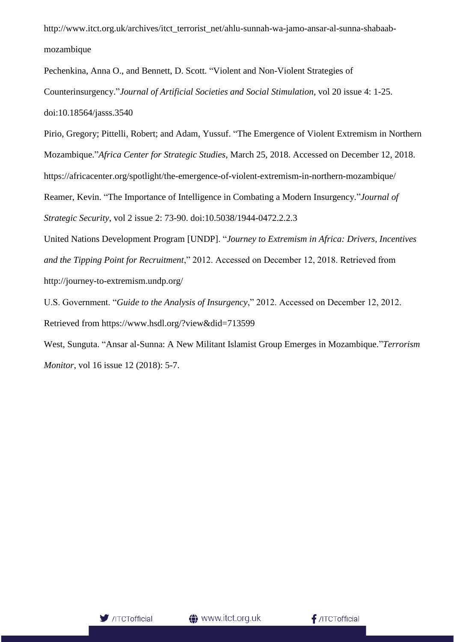http://www.itct.org.uk/archives/itct\_terrorist\_net/ahlu-sunnah-wa-jamo-ansar-al-sunna-shabaabmozambique

Pechenkina, Anna O., and Bennett, D. Scott. "Violent and Non-Violent Strategies of Counterinsurgency."*Journal of Artificial Societies and Social Stimulation*, vol 20 issue 4: 1-25. doi:10.18564/jasss.3540

Pirio, Gregory; Pittelli, Robert; and Adam, Yussuf. "The Emergence of Violent Extremism in Northern Mozambique."*Africa Center for Strategic Studies*, March 25, 2018. Accessed on December 12, 2018. https://africacenter.org/spotlight/the-emergence-of-violent-extremism-in-northern-mozambique/ Reamer, Kevin. "The Importance of Intelligence in Combating a Modern Insurgency."*Journal of Strategic Security*, vol 2 issue 2: 73-90. doi:10.5038/1944-0472.2.2.3

United Nations Development Program [UNDP]. "*Journey to Extremism in Africa: Drivers, Incentives and the Tipping Point for Recruitment*," 2012. Accessed on December 12, 2018. Retrieved from http://journey-to-extremism.undp.org/

U.S. Government. "*Guide to the Analysis of Insurgency*," 2012. Accessed on December 12, 2012. Retrieved from https://www.hsdl.org/?view&did=713599

West, Sunguta. "Ansar al-Sunna: A New Militant Islamist Group Emerges in Mozambique."*Terrorism Monitor*, vol 16 issue 12 (2018): 5-7.